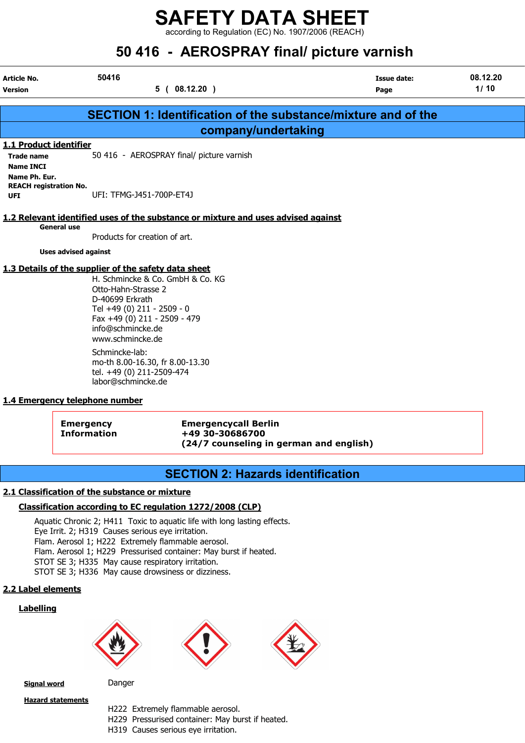according to Regulation (EC) No. 1907/2006 (REACH)

| 50 416 - AEROSPRAY final/ picture varnish                                        |                                                                                                                                                                                                                                                                                                                                                   |                            |                  |  |  |
|----------------------------------------------------------------------------------|---------------------------------------------------------------------------------------------------------------------------------------------------------------------------------------------------------------------------------------------------------------------------------------------------------------------------------------------------|----------------------------|------------------|--|--|
| Article No.<br><b>Version</b>                                                    | 50416<br>5(08.12.20)                                                                                                                                                                                                                                                                                                                              | <b>Issue date:</b><br>Page | 08.12.20<br>1/10 |  |  |
|                                                                                  | <b>SECTION 1: Identification of the substance/mixture and of the</b>                                                                                                                                                                                                                                                                              |                            |                  |  |  |
|                                                                                  | company/undertaking                                                                                                                                                                                                                                                                                                                               |                            |                  |  |  |
| 1.1 Product identifier<br><b>Trade name</b><br><b>Name INCI</b><br>Name Ph. Eur. | 50 416 - AEROSPRAY final/ picture varnish                                                                                                                                                                                                                                                                                                         |                            |                  |  |  |
| <b>REACH registration No.</b><br><b>UFI</b>                                      | UFI: TFMG-J451-700P-ET4J                                                                                                                                                                                                                                                                                                                          |                            |                  |  |  |
|                                                                                  | 1.2 Relevant identified uses of the substance or mixture and uses advised against                                                                                                                                                                                                                                                                 |                            |                  |  |  |
| <b>General use</b>                                                               | Products for creation of art.                                                                                                                                                                                                                                                                                                                     |                            |                  |  |  |
| <b>Uses advised against</b>                                                      |                                                                                                                                                                                                                                                                                                                                                   |                            |                  |  |  |
|                                                                                  | 1.3 Details of the supplier of the safety data sheet<br>H. Schmincke & Co. GmbH & Co. KG<br>Otto-Hahn-Strasse 2<br>D-40699 Erkrath<br>Tel +49 (0) 211 - 2509 - 0<br>Fax +49 (0) 211 - 2509 - 479<br>info@schmincke.de<br>www.schmincke.de<br>Schmincke-lab:<br>mo-th 8.00-16.30, fr 8.00-13.30<br>tel. +49 (0) 211-2509-474<br>labor@schmincke.de |                            |                  |  |  |
| 1.4 Emergency telephone number                                                   |                                                                                                                                                                                                                                                                                                                                                   |                            |                  |  |  |

Emergency Emergencycall Berlin Information +49 30-30686700 (24/7 counseling in german and english)

# SECTION 2: Hazards identification

### 2.1 Classification of the substance or mixture

### Classification according to EC regulation 1272/2008 (CLP)

Aquatic Chronic 2; H411 Toxic to aquatic life with long lasting effects. Eye Irrit. 2; H319 Causes serious eye irritation. Flam. Aerosol 1; H222 Extremely flammable aerosol. Flam. Aerosol 1; H229 Pressurised container: May burst if heated. STOT SE 3; H335 May cause respiratory irritation. STOT SE 3; H336 May cause drowsiness or dizziness.

### 2.2 Label elements

### **Labelling**







Signal word Danger

Hazard statements

- H222 Extremely flammable aerosol.
- H229 Pressurised container: May burst if heated.
- H319 Causes serious eye irritation.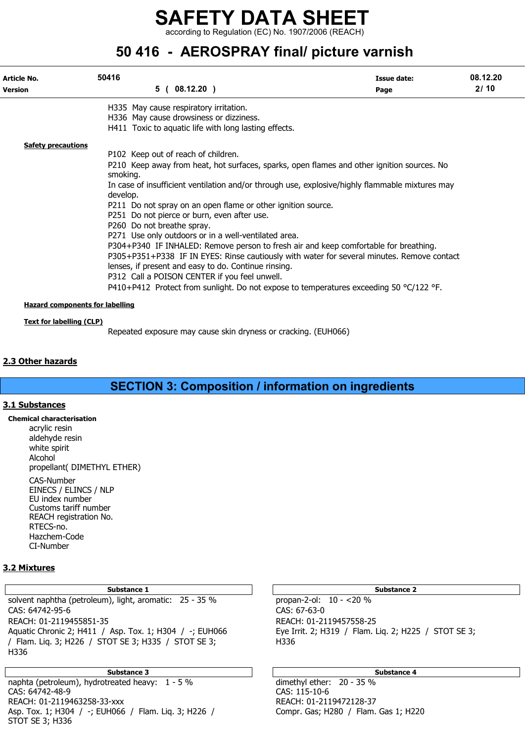according to Regulation (EC) No. 1907/2006 (REACH)

# 50 416 - AEROSPRAY final/ picture varnish

| Article No.                                                               | 50416                                                                                                       | Issue date: | 08.12.20 |
|---------------------------------------------------------------------------|-------------------------------------------------------------------------------------------------------------|-------------|----------|
| <b>Version</b>                                                            | 5(08.12.20)                                                                                                 | Page        | 2/10     |
|                                                                           | H335 May cause respiratory irritation.                                                                      |             |          |
|                                                                           | H336 May cause drowsiness or dizziness.                                                                     |             |          |
|                                                                           | H411 Toxic to aquatic life with long lasting effects.                                                       |             |          |
| <b>Safety precautions</b>                                                 |                                                                                                             |             |          |
|                                                                           | P102 Keep out of reach of children.                                                                         |             |          |
|                                                                           | P210 Keep away from heat, hot surfaces, sparks, open flames and other ignition sources. No<br>smoking.      |             |          |
|                                                                           | In case of insufficient ventilation and/or through use, explosive/highly flammable mixtures may<br>develop. |             |          |
|                                                                           | P211 Do not spray on an open flame or other ignition source.                                                |             |          |
|                                                                           | P251 Do not pierce or burn, even after use.                                                                 |             |          |
|                                                                           | P260 Do not breathe spray.                                                                                  |             |          |
|                                                                           | P271 Use only outdoors or in a well-ventilated area.                                                        |             |          |
|                                                                           | P304+P340 IF INHALED: Remove person to fresh air and keep comfortable for breathing.                        |             |          |
|                                                                           | P305+P351+P338 IF IN EYES: Rinse cautiously with water for several minutes. Remove contact                  |             |          |
|                                                                           | lenses, if present and easy to do. Continue rinsing.                                                        |             |          |
|                                                                           | P312 Call a POISON CENTER if you feel unwell.                                                               |             |          |
|                                                                           | P410+P412 Protect from sunlight. Do not expose to temperatures exceeding 50 $^{\circ}$ C/122 °F.            |             |          |
| <b>Hazard components for labelling</b><br><b>Text for labelling (CLP)</b> |                                                                                                             |             |          |

Repeated exposure may cause skin dryness or cracking. (EUH066)

### 2.3 Other hazards

SECTION 3: Composition / information on ingredients

### 3.1 Substances

Chemical characterisation acrylic resin aldehyde resin white spirit Alcohol propellant( DIMETHYL ETHER) CAS-Number EINECS / ELINCS / NLP EU index number

Customs tariff number REACH registration No. RTECS-no. Hazchem-Code CI-Number

### 3.2 Mixtures

### Substance 1 and 1 Substance 2 and 1 Substance 2 and 1 Substance 2 and 2 Substance 2 and 2 Substance 2

solvent naphtha (petroleum), light, aromatic: 25 - 35 % propan-2-ol: 10 - <20 % CAS: 64742-95-6 CAS: 67-63-0 REACH: 01-2119455851-35<br>Aquatic Chronic 2; H411 / Asp. Tox. 1; H304 / -; EUH066 Eye Irrit. 2; H319 / Flam. Lig. 2; H225 / STOT SE 3; Aquatic Chronic 2; H411 / Asp. Tox. 1; H304 / -; EUH066 / Flam. Liq. 3; H226 / STOT SE 3; H335 / STOT SE 3; H336 H336

Substance 3 and 5 Substance 4 and 5 Substance 4 and 5 Substance 4 and 5 Substance 4 naphta (petroleum), hydrotreated heavy: 1 - 5 % dimethyl ether: 20 - 35 %<br>CAS: 64742-48-9 CAS: 115-10-6 CAS: 64742-48-9 CAS: 115-10-6 REACH: 01-2119463258-33-xxx Asp. Tox. 1; H304 / -; EUH066 / Flam. Liq. 3; H226 / Compr. Gas; H280 / Flam. Gas 1; H220 STOT SE 3; H336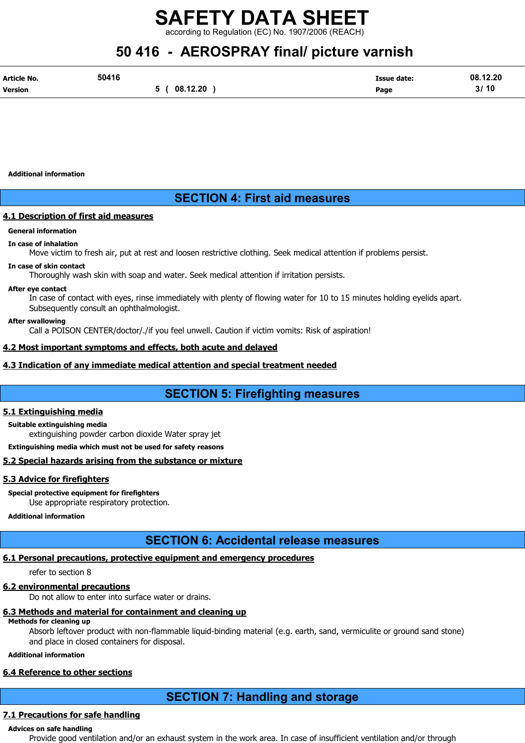rding to Regulation (EC) No. 1907/2006 (REACH)

# 50 416 - AEROSPRAY final/ picture varnish

| Article No.    | 50416    | <b>Issue date:</b> | 08.12.20 |
|----------------|----------|--------------------|----------|
| <b>Version</b> | 08.12.20 | Page               | 3/10     |

Additional information

## SECTION 4: First aid measures

### **4.1 Description of first aid measures**

### General information

### In case of inhalation

Move victim to fresh air, put at rest and loosen restrictive clothing. Seek medical attention if problems persist.

### In case of skin contact

Thoroughly wash skin with soap and water. Seek medical attention if irritation persists.

### After eye contact

In case of contact with eyes, rinse immediately with plenty of flowing water for 10 to 15 minutes holding eyelids apart. Subsequently consult an ophthalmologist.

### After swallowing

Call a POISON CENTER/doctor/./if you feel unwell. Caution if victim vomits: Risk of aspiration!

### 4.2 Most important symptoms and effects, both acute and delayed

### 4.3 Indication of any immediate medical attention and special treatment needed

# SECTION 5: Firefighting measures

### 5.1 Extinguishing media

### Suitable extinguishing media

extinguishing powder carbon dioxide Water spray jet

Extinguishing media which must not be used for safety reasons

### 5.2 Special hazards arising from the substance or mixture

### 5.3 Advice for firefighters

Special protective equipment for firefighters

Use appropriate respiratory protection.

## Additional information

# SECTION 6: Accidental release measures

## 6.1 Personal precautions, protective equipment and emergency procedures

refer to section 8

### 6.2 environmental precautions

Do not allow to enter into surface water or drains.

## 6.3 Methods and material for containment and cleaning up

## Methods for cleaning up

Absorb leftover product with non-flammable liquid-binding material (e.g. earth, sand, vermiculite or ground sand stone) and place in closed containers for disposal.

### Additional information

### 6.4 Reference to other sections

# SECTION 7: Handling and storage

## 7.1 Precautions for safe handling

### Advices on safe handling

Provide good ventilation and/or an exhaust system in the work area. In case of insufficient ventilation and/or through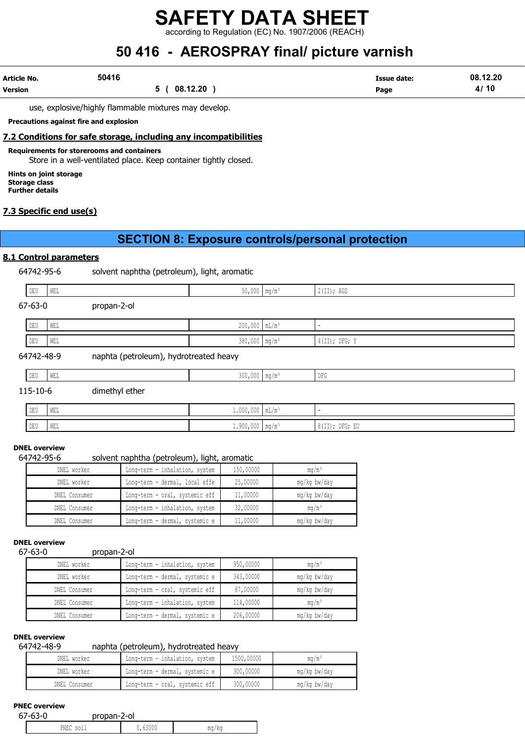according to Regulation (EC) No. 1907/2006 (REACH)

# 50 416 - AEROSPRAY final/ picture varnish

| Article No.    | 50416    | Issue date: | 08.12.20 |
|----------------|----------|-------------|----------|
| <b>Version</b> | 08.12.20 | Page        | 4/10     |

use, explosive/highly flammable mixtures may develop.

Precautions against fire and explosion

### 7.2 Conditions for safe storage, including any incompatibilities

Requirements for storerooms and containers

Store in a well-ventilated place. Keep container tightly closed.

Hints on joint storage Storage class Further details

### 7.3 Specific end use(s)

## SECTION 8: Exposure controls/personal protection

### 8.1 Control parameters

64742-95-6 solvent naphtha (petroleum), light, aromatic

| DEU           | WEL |                                        | $50,000$ mg/m <sup>3</sup>  | 2(II); AGS               |
|---------------|-----|----------------------------------------|-----------------------------|--------------------------|
| $67 - 63 - 0$ |     | propan-2-ol                            |                             |                          |
| DEU           | WEL |                                        | $200,000$ $mL/m^3$          | $\overline{\phantom{a}}$ |
| DEU           | WEL |                                        | $380,000$ mg/m <sup>3</sup> | $4(II);$ DFG; Y          |
| 64742-48-9    |     | naphta (petroleum), hydrotreated heavy |                             |                          |

| the contract of the contract of<br>-----<br>نتلالا | .<br>V V L'I |  | $ -$ |
|----------------------------------------------------|--------------|--|------|
|                                                    |              |  |      |

### 115-10-6 dimethyl ether

| DEU | <b>WEL</b>                  | $1.000,000$   mL/m | $\sim$ |                                 |
|-----|-----------------------------|--------------------|--------|---------------------------------|
| DEU | $\ensuremath{\mathsf{WEL}}$ | $1.900,000$ mq/m   |        | . 01TT<br>II); DFG; EU<br>01117 |

### DNEL overview

### 64742-95-6 solvent naphtha (petroleum), light, aromatic

| DNEL worker   | Long-term - inhalation, system | 150,00000 | ma/m <sup>3</sup> |
|---------------|--------------------------------|-----------|-------------------|
| DNEL worker   | Long-term - dermal, local effe | 25,00000  | mg/kg bw/day      |
| DNEL Consumer | Long-term - oral, systemic eff | 11,00000  | mg/kg bw/day      |
| DNEL Consumer | Long-term - inhalation, system | 32,00000  | $mq/m^3$          |
| DNEL Consumer | Long-term - dermal, systemic e | 11,00000  | mg/kg bw/day      |

#### DNEL overview

#### 67-63-0 propan-2-ol

| DNEL worker   | Long-term - inhalation, system | 950,00000 | mq/m <sup>3</sup> |
|---------------|--------------------------------|-----------|-------------------|
| DNEL worker   | Long-term - dermal, systemic e | 343,00000 | mg/kg bw/day      |
| DNEL Consumer | Long-term - oral, systemic eff | 87,00000  | mg/kg bw/day      |
| DNEL Consumer | Long-term - inhalation, system | 114,00000 | mq/m <sup>3</sup> |
| DNEL Consumer | Long-term - dermal, systemic e | 206,00000 | mg/kg bw/day      |

### DNEL overview

### 64742-48-9 naphta (petroleum), hydrotreated heavy

| DNEL worker   | Long-term - inhalation, system | 1500,00000 | ma/mª        |
|---------------|--------------------------------|------------|--------------|
| DNEL worker   | Long-term - dermal, systemic e | 300,00000  | mg/kg bw/day |
| DNEL Consumer | Long-term - oral, systemic eff | 300,00000  | mg/kg bw/day |

### PNEC overview

| 67<br>$\sim$<br>$\overline{\phantom{a}}$ | nronnn                       | '-ol  |       |
|------------------------------------------|------------------------------|-------|-------|
|                                          | PNEC<br>$0^{\circ}$<br>-9944 | 300 U | mg/kg |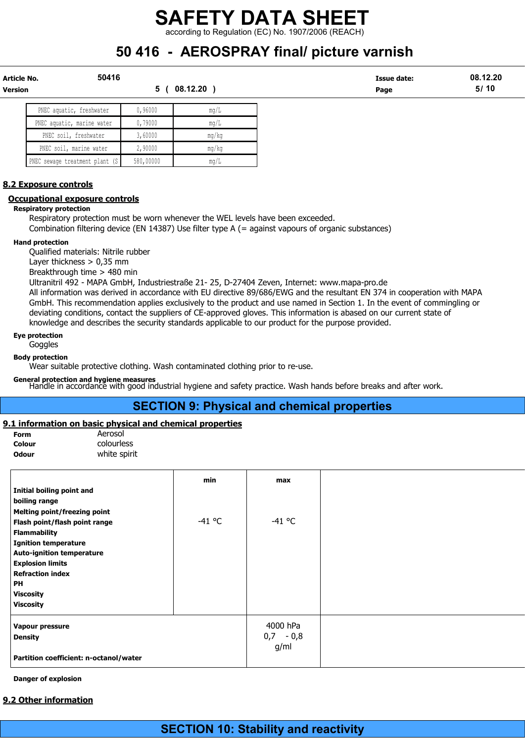according to Regulation (EC) No. 1907/2006 (REACH)

# 50 416 - AEROSPRAY final/ picture varnish

| Article No.    | 50416         | Issue date: | 08.<br>.12.20 |
|----------------|---------------|-------------|---------------|
| <b>Version</b> | 12.20<br>-08. | Page        | 5/10          |

| PNEC aquatic, freshwater       | 0,96000   | $m\alpha/L$ |
|--------------------------------|-----------|-------------|
| PNEC aquatic, marine water     | 0,79000   | $m\alpha/L$ |
| PNEC soil, freshwater          | 3,60000   | mq/kg       |
| PNEC soil, marine water        | 2,90000   | mq/kg       |
| PNEC sewage treatment plant (S | 580,00000 | mq/L        |

### 8.2 Exposure controls

### Occupational exposure controls

Respiratory protection

Respiratory protection must be worn whenever the WEL levels have been exceeded.

Combination filtering device (EN 14387) Use filter type A (= against vapours of organic substances)

### Hand protection

Qualified materials: Nitrile rubber

Layer thickness > 0,35 mm

Breakthrough time > 480 min

Ultranitril 492 - MAPA GmbH, Industriestraße 21- 25, D-27404 Zeven, Internet: www.mapa-pro.de

All information was derived in accordance with EU directive 89/686/EWG and the resultant EN 374 in cooperation with MAPA GmbH. This recommendation applies exclusively to the product and use named in Section 1. In the event of commingling or deviating conditions, contact the suppliers of CE-approved gloves. This information is abased on our current state of knowledge and describes the security standards applicable to our product for the purpose provided.

### Eye protection

**Goggles** 

### Body protection

Wear suitable protective clothing. Wash contaminated clothing prior to re-use.

General protection and hygiene measures Handle in accordance with good industrial hygiene and safety practice. Wash hands before breaks and after work.

# SECTION 9: Physical and chemical properties

### 9.1 information on basic physical and chemical properties

| <b>Form</b> | Aerosol      |
|-------------|--------------|
| Colour      | colourless   |
| Odour       | white spirit |

|                                        | min      | max         |
|----------------------------------------|----------|-------------|
| Initial boiling point and              |          |             |
| boiling range                          |          |             |
| Melting point/freezing point           |          |             |
| Flash point/flash point range          | $-41$ °C | $-41$ °C    |
| <b>Flammability</b>                    |          |             |
| <b>Ignition temperature</b>            |          |             |
| <b>Auto-ignition temperature</b>       |          |             |
| <b>Explosion limits</b>                |          |             |
| <b>Refraction index</b>                |          |             |
| <b>PH</b>                              |          |             |
| <b>Viscosity</b>                       |          |             |
| <b>Viscosity</b>                       |          |             |
| Vapour pressure                        |          | 4000 hPa    |
| <b>Density</b>                         |          | $0,7 - 0,8$ |
|                                        |          | g/ml        |
| Partition coefficient: n-octanol/water |          |             |

### Danger of explosion

### 9.2 Other information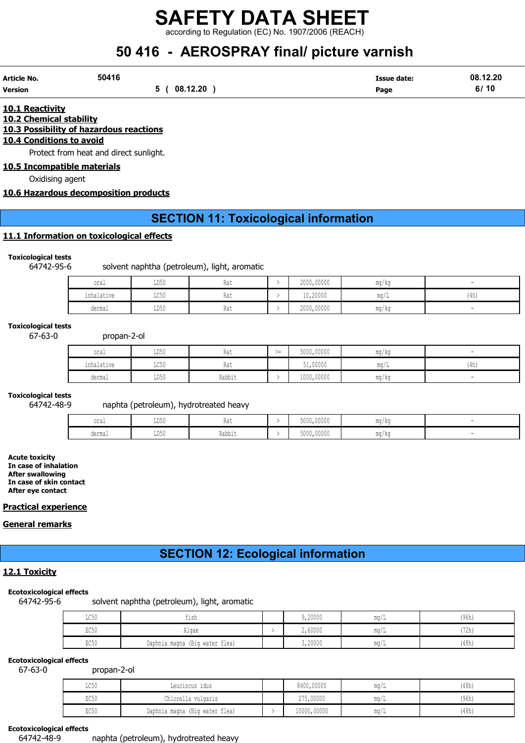according to Regulation (EC) No. 1907/2006 (REACH)

# 50 416 - AEROSPRAY final/ picture varnish

| Article No.    | 50416 |          | Issue date: | 08.12.20 |
|----------------|-------|----------|-------------|----------|
| <b>Version</b> |       | 08.12.20 | Page        | 6/10     |

10.1 Reactivity

10.2 Chemical stability 10.3 Possibility of hazardous reactions

# 10.4 Conditions to avoid

Protect from heat and direct sunlight.

10.5 Incompatible materials

Oxidising agent

### 10.6 Hazardous decomposition products

## SECTION 11: Toxicological information

### 11.1 Information on toxicological effects

### Toxicological tests

64742-95-6 solvent naphtha (petroleum), light, aromatic

| oral       | LD50 | Rat | 2000,00000 | $\overline{\phantom{a}}$<br>ma/ka |      |
|------------|------|-----|------------|-----------------------------------|------|
| inhalative | LC50 | Rat | 10,20000   | ma/L                              | (4h) |
| dermal     | LD50 | Rat | 2000,00000 | mq/kg                             |      |

### Toxicological tests

67-63-0 propan-2-ol

| oral       | LD50                           | Rat           | $\sim$ $-$ | 5000,00000 | mg/kg |      |
|------------|--------------------------------|---------------|------------|------------|-------|------|
| inhalative | $T \cap E \cap$<br><b>UCJU</b> | $\sim$<br>Kdl |            | 51,00000   | mq/L  | (4h) |
| dermal     | LD50                           | Rabbit        |            | 1000,00000 | mg/kg |      |

### Toxicological tests

### 64742-48-9 naphta (petroleum), hydrotreated heavy

| oral   | TDEC<br><b>TINYA</b>        | Raı                   | 5000,00000 | ma/ka |  |
|--------|-----------------------------|-----------------------|------------|-------|--|
| dermal | <b>TDEC</b><br><b>TINYA</b> | .<br>りっトトッ<br>vauu Lu | 5000,00000 | mg/kg |  |

Acute toxicity In case of inhalation After swallowing In case of skin contact After eye contact

### Practical experience

### General remarks

# SECTION 12: Ecological information

### 12.1 Toxicity

### Ecotoxicological effects

64742-95-6 solvent naphtha (petroleum), light, aromatic

| $T \cap F$<br>⊥∪ായ | tısh                           | 9,20000 | - 111.Y / 1 | (96h) |
|--------------------|--------------------------------|---------|-------------|-------|
| EC50               | Alqae                          | 2,60000 | - 111 J 7   | (72h) |
| EC50               | Daphnia magna (Big water flea) | 3,20000 | -111.47 L   | (48h) |

### Ecotoxicological effects

67-63-0 propan-2-ol

| $T \cap F \cap$<br><b>TACON</b> | Leuciscus idus                 | 8400,00000  | ma/L                  | (48h) |
|---------------------------------|--------------------------------|-------------|-----------------------|-------|
| EC50                            | Chlorella vulgaris             | 275,00000   | ma/L                  | (96h) |
| EC50                            | Daphnia magna (Big water flea) | 10000,00000 | $\text{max}/\text{I}$ | (48h) |

### Ecotoxicological effects

64742-48-9 naphta (petroleum), hydrotreated heavy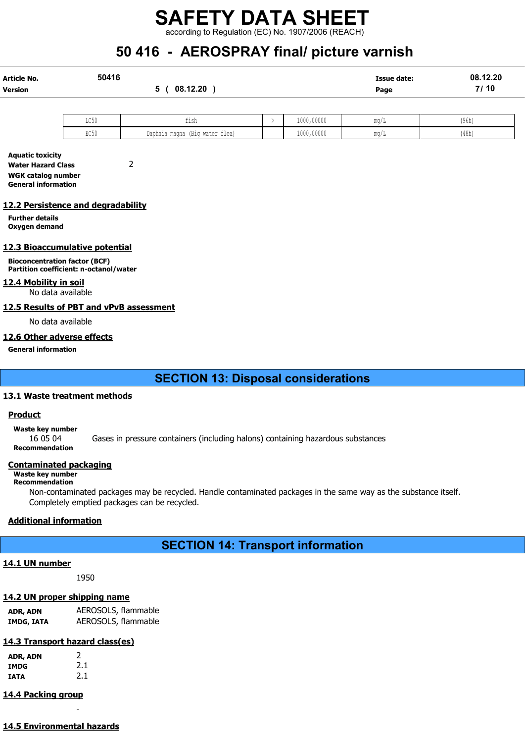according to Regulation (EC) No. 1907/2006 (REACH)

# 50 416 - AEROSPRAY final/ picture varnish

| Article No.    | 50416 |          | <b>Issue date:</b> | 08.12.20 |
|----------------|-------|----------|--------------------|----------|
| <b>Version</b> |       | 08.12.20 | Page               | 7/10     |
|                |       |          |                    |          |

| T OF<br>コレマル                 | .<br>1 S I<br>ᆂᆂᇦᄔ             | 1000,00000 | ma/           | (96h) |
|------------------------------|--------------------------------|------------|---------------|-------|
| $T \cap \cap \Gamma$<br>いしつい | Daphnia magna (Big water flea) | 1000,00000 | $\text{max}/$ | (48h) |

Aquatic toxicity Water Hazard Class 2 WGK catalog number General information

### 12.2 Persistence and degradability

Further details Oxygen demand

### 12.3 Bioaccumulative potential

Bioconcentration factor (BCF) Partition coefficient: n-octanol/water

### 12.4 Mobility in soil

No data available

### 12.5 Results of PBT and vPvB assessment

No data available

### 12.6 Other adverse effects

General information

# SECTION 13: Disposal considerations

### 13.1 Waste treatment methods

### Product

Waste key number

16 05 04 Gases in pressure containers (including halons) containing hazardous substances

Recommendation

### Contaminated packaging

## Waste key number

Recommendation

Non-contaminated packages may be recycled. Handle contaminated packages in the same way as the substance itself. Completely emptied packages can be recycled.

### Additional information

# SECTION 14: Transport information

### 14.1 UN number

1950

### 14.2 UN proper shipping name

ADR, ADN AEROSOLS, flammable IMDG, IATA AEROSOLS, flammable

# 14.3 Transport hazard class(es)

| ADR, ADN | 2   |
|----------|-----|
| IMDG     | 2.1 |
| IATA     | 2.1 |

# 14.4 Packing group

14.5 Environmental hazards

-

| ADR, ADN |  |  | 2 |     |  |  |
|----------|--|--|---|-----|--|--|
| IMDG     |  |  |   | 2.1 |  |  |
| IATA     |  |  |   | 2.1 |  |  |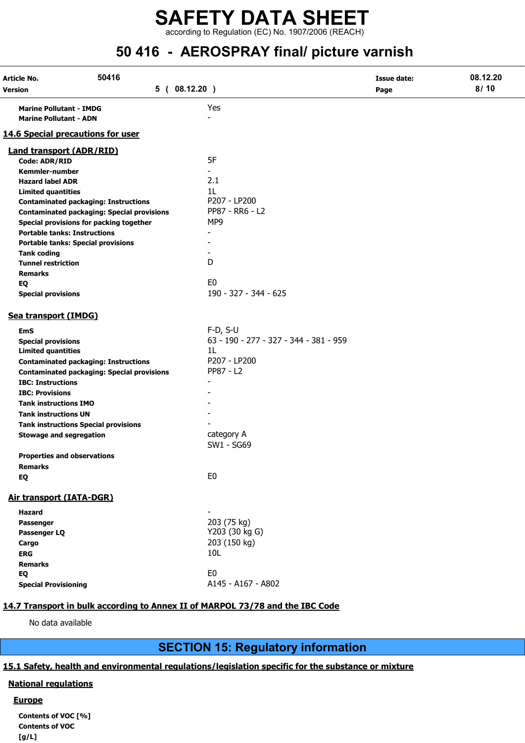# SAFETY DATA SHEET according to Regulation (EC) No. 1907/2006 (REACH)

# 50 416 - AEROSPRAY final/ picture varnish

| Article No.                         | 50416                                             |                                        | <b>Issue date:</b> | 08.12.20 |
|-------------------------------------|---------------------------------------------------|----------------------------------------|--------------------|----------|
| Version                             | 5(08.12.20)                                       |                                        | Page               | 8/10     |
| <b>Marine Pollutant - IMDG</b>      |                                                   | Yes                                    |                    |          |
| <b>Marine Pollutant - ADN</b>       |                                                   |                                        |                    |          |
| 14.6 Special precautions for user   |                                                   |                                        |                    |          |
| <b>Land transport (ADR/RID)</b>     |                                                   |                                        |                    |          |
| Code: ADR/RID                       |                                                   | 5F                                     |                    |          |
| <b>Kemmler-number</b>               |                                                   |                                        |                    |          |
| <b>Hazard label ADR</b>             |                                                   | 2.1                                    |                    |          |
| <b>Limited quantities</b>           |                                                   | 1L                                     |                    |          |
|                                     | <b>Contaminated packaging: Instructions</b>       | P207 - LP200                           |                    |          |
|                                     | <b>Contaminated packaging: Special provisions</b> | PP87 - RR6 - L2                        |                    |          |
|                                     | Special provisions for packing together           | MP9                                    |                    |          |
| <b>Portable tanks: Instructions</b> |                                                   |                                        |                    |          |
|                                     | <b>Portable tanks: Special provisions</b>         |                                        |                    |          |
| <b>Tank coding</b>                  |                                                   |                                        |                    |          |
| <b>Tunnel restriction</b>           |                                                   | D                                      |                    |          |
| <b>Remarks</b>                      |                                                   |                                        |                    |          |
| EQ                                  |                                                   | E <sub>0</sub>                         |                    |          |
| <b>Special provisions</b>           |                                                   | 190 - 327 - 344 - 625                  |                    |          |
| Sea transport (IMDG)                |                                                   |                                        |                    |          |
| <b>EmS</b>                          |                                                   | $F-D, S-U$                             |                    |          |
| <b>Special provisions</b>           |                                                   | 63 - 190 - 277 - 327 - 344 - 381 - 959 |                    |          |
| <b>Limited quantities</b>           |                                                   | 1L                                     |                    |          |
|                                     | <b>Contaminated packaging: Instructions</b>       | P207 - LP200                           |                    |          |
|                                     | <b>Contaminated packaging: Special provisions</b> | PP87 - L2                              |                    |          |
| <b>IBC: Instructions</b>            |                                                   |                                        |                    |          |
| <b>IBC: Provisions</b>              |                                                   |                                        |                    |          |
| <b>Tank instructions IMO</b>        |                                                   |                                        |                    |          |
| <b>Tank instructions UN</b>         |                                                   |                                        |                    |          |
|                                     | <b>Tank instructions Special provisions</b>       |                                        |                    |          |
| <b>Stowage and segregation</b>      |                                                   | category A                             |                    |          |
|                                     |                                                   | SW1 - SG69                             |                    |          |
| <b>Properties and observations</b>  |                                                   |                                        |                    |          |
| Remarks                             |                                                   |                                        |                    |          |
| EQ                                  |                                                   | E <sub>0</sub>                         |                    |          |
| Air transport (IATA-DGR)            |                                                   |                                        |                    |          |
| Hazard                              |                                                   |                                        |                    |          |
| <b>Passenger</b>                    |                                                   | 203 (75 kg)                            |                    |          |
| Passenger LQ                        |                                                   | Y203 (30 kg G)                         |                    |          |
| Cargo                               |                                                   | 203 (150 kg)                           |                    |          |
| <b>ERG</b>                          |                                                   | 10L                                    |                    |          |
| <b>Remarks</b>                      |                                                   |                                        |                    |          |
| EQ                                  |                                                   | E <sub>0</sub>                         |                    |          |
| <b>Special Provisioning</b>         |                                                   | A145 - A167 - A802                     |                    |          |
|                                     |                                                   |                                        |                    |          |

### 14.7 Transport in bulk according to Annex II of MARPOL 73/78 and the IBC Code

No data available

# SECTION 15: Regulatory information

### 15.1 Safety, health and environmental regulations/legislation specific for the substance or mixture

### National regulations

### **Europe**

Contents of VOC [%] Contents of VOC [g/L]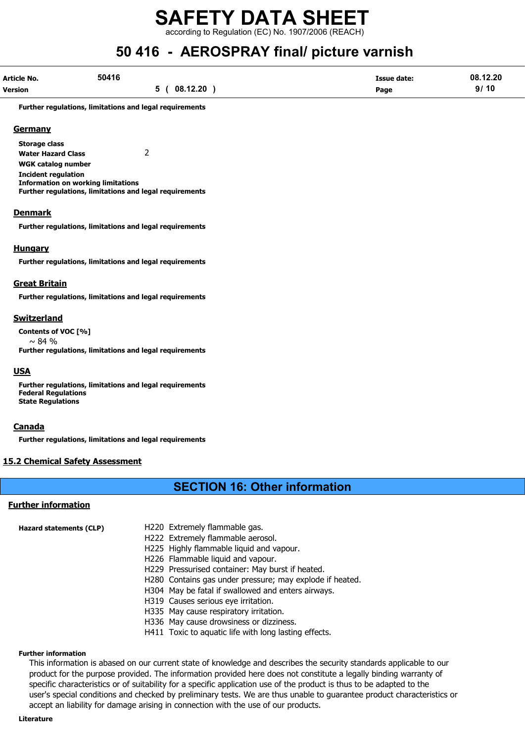according to Regulation (EC) No. 1907/2006 (REACH)

# 50 416 - AEROSPRAY final/ picture varnish

| Article No. | 50416              | <b>Issue date:</b> | 08.12.20 |
|-------------|--------------------|--------------------|----------|
| Version     | $-08.12.20$<br>5 ( | Page               | 9/10     |

Further regulations, limitations and legal requirements

### **Germany**

Storage class Water Hazard Class 2 WGK catalog number

Incident regulation Information on working limitations Further regulations, limitations and legal requirements

### Denmark

Further regulations, limitations and legal requirements

### Hungary

Further regulations, limitations and legal requirements

### Great Britain

Further regulations, limitations and legal requirements

### Switzerland

Contents of VOC [%]  $\sim$  84 % Further regulations, limitations and legal requirements

### USA

Further regulations, limitations and legal requirements Federal Regulations State Regulations

### **Canada**

Further regulations, limitations and legal requirements

### 15.2 Chemical Safety Assessment

# SECTION 16: Other information

### Further information

| Hazard statements (CLP) | H220 Extremely flammable gas.                            |
|-------------------------|----------------------------------------------------------|
|                         | H222 Extremely flammable aerosol.                        |
|                         | H225 Highly flammable liquid and vapour.                 |
|                         | H226 Flammable liquid and vapour.                        |
|                         | H229 Pressurised container: May burst if heated.         |
|                         | H280 Contains gas under pressure; may explode if heated. |
|                         | H304 May be fatal if swallowed and enters airways.       |
|                         | H319 Causes serious eye irritation.                      |
|                         | H335 May cause respiratory irritation.                   |
|                         | H <sub>226</sub> May cause drowsiness or dizziness       |

- H336 May cause drowsiness or dizziness.
- H411 Toxic to aquatic life with long lasting effects.

### Further information

This information is abased on our current state of knowledge and describes the security standards applicable to our product for the purpose provided. The information provided here does not constitute a legally binding warranty of specific characteristics or of suitability for a specific application use of the product is thus to be adapted to the user's special conditions and checked by preliminary tests. We are thus unable to guarantee product characteristics or accept an liability for damage arising in connection with the use of our products.